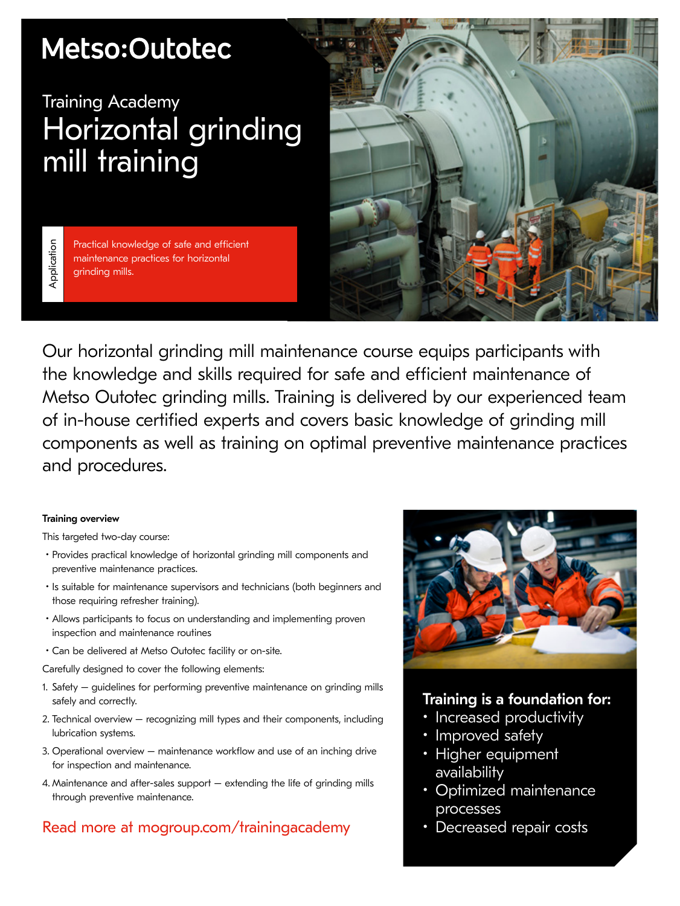# Metso:Outotec

## Training Academy Horizontal grinding mill training

Application Application

Practical knowledge of safe and efficient maintenance practices for horizontal grinding mills.



Our horizontal grinding mill maintenance course equips participants with the knowledge and skills required for safe and efficient maintenance of Metso Outotec grinding mills. Training is delivered by our experienced team of in-house certified experts and covers basic knowledge of grinding mill components as well as training on optimal preventive maintenance practices and procedures.

#### Training overview

This targeted two-day course:

- Provides practical knowledge of horizontal grinding mill components and preventive maintenance practices.
- Is suitable for maintenance supervisors and technicians (both beginners and those requiring refresher training).
- Allows participants to focus on understanding and implementing proven inspection and maintenance routines
- Can be delivered at Metso Outotec facility or on-site.

Carefully designed to cover the following elements:

- 1. Safety guidelines for performing preventive maintenance on grinding mills safely and correctly.
- 2. Technical overview recognizing mill types and their components, including lubrication systems.
- 3. Operational overview maintenance workflow and use of an inching drive for inspection and maintenance.
- 4. Maintenance and after-sales support extending the life of grinding mills through preventive maintenance.

### Read more at mogroup.com/trainingacademy



### Training is a foundation for:

- Increased productivity
- Improved safety
- Higher equipment availability
- Optimized maintenance processes
- Decreased repair costs